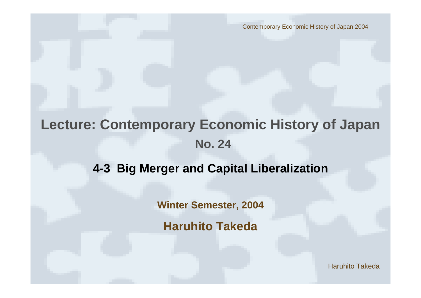Contemporary Economic History of Japan 2004

# **Lecture: Contemporary Economic History of Japan No. 24**

### **4-3 Big Merger and Capital Liberalization**

**Winter Semester, 2004**

**Haruhito Takeda**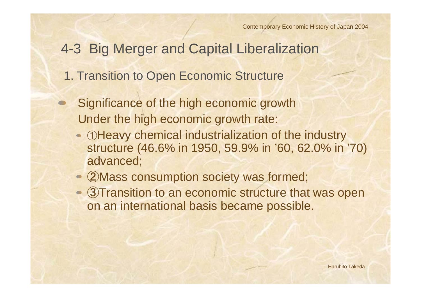## 4-3 Big Merger and Capital Liberalization

- 1. Transition to Open Economic Structure
- Significance of the high economic growth Under the high economic growth rate:
	- ①Heavy chemical industrialization of the industry structure (46.6% in 1950, 59.9% in '60, 62.0% in '70) advanced;
	- ②Mass consumption society was formed;
	- 3) Transition to an economic structure that was open on an international basis became possible.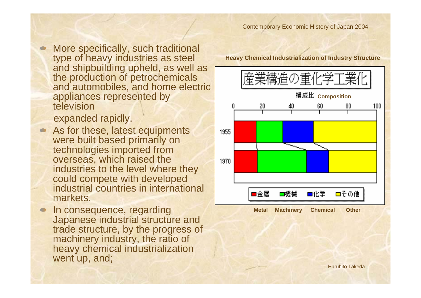More specifically, such traditional type of heavy industries as steel and shipbuilding upheld, as well as the production of petrochemicals and automobiles, and home electric appliances represented by television

expanded rapidly.

- As for these, latest equipments were built based primarily on technologies imported from overseas, which raised the industries to the level where they could compete with developed industrial countries in international markets.
- In consequence, regarding Japanese industrial structure and trade structure, by the progress of machinery industry, the ratio of heavy chemical industrialization went up, and;

**Heavy Chemical Industrialization of Industry Structure**

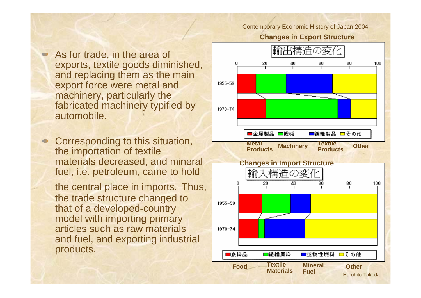#### Contemporary Economic History of Japan 2004

### **Changes in Export Structure**

As for trade, in the area of exports, textile goods diminished, and replacing them as the main export force were metal and machinery, particularly the fabricated machinery typified by automobile.

Corresponding to this situation, the importation of textile materials decreased, and mineral fuel, i.e. petroleum, came to hold

the central place in imports. Thus, the trade structure changed to that of a developed-country model with importing primary articles such as raw materials and fuel, and exporting industrial products.

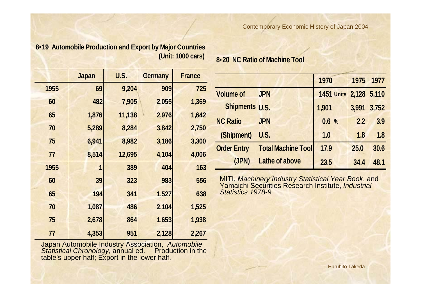**8**・**19 Automobile Production and Export by Major Countries (Unit: 1000 cars)**

|      | <b>Japan</b> | U.S.   | <b>Germany</b> | <b>France</b> |
|------|--------------|--------|----------------|---------------|
| 1955 | 69           | 9,204  | 909            | 725           |
| 60   | 482          | 7,905  | 2,055          | 1,369         |
| 65   | 1,876        | 11,138 | 2,976          | 1,642         |
| 70   | 5,289        | 8,284  | 3,842          | 2,750         |
| 75   | 6,941        | 8,982  | 3,186          | 3,300         |
| 77   | 8,514        | 12,695 | 4,104          | 4,006         |
| 1955 | 1            | 389    | 404            | 163           |
| 60   | 39           | 323    | 983            | 556           |
| 65   | 194          | 341    | 1,527          | 638           |
| 70   | 1,087        | 486    | 2,104          | 1,525         |
| 75   | 2,678        | 864    | 1,653          | 1,938         |
| 77   | 4,353        | 951    | 2,128          | 2,267         |

Japan Automobile Industry Association, *Automobile Statistical Chronology*, annual ed. Production in the table's upper half; Export in the lower half.

**8**・**20 NC Ratio of Machine Tool**

|                       |                           | 1970       | 1975        | 1977  |
|-----------------------|---------------------------|------------|-------------|-------|
| <b>Volume of</b>      | <b>JPN</b>                | 1451 Units | 2,128 5,110 |       |
| <b>Shipments U.S.</b> |                           | 1,901      | 3,991       | 3,752 |
| <b>NC Ratio</b>       | <b>JPN</b>                | 0.6%       | 2.2         | 3.9   |
| (Shipment)            | U.S.                      | 1.0        | 1.8         | 1.8   |
| <b>Order Entry</b>    | <b>Total Machine Tool</b> | 17.9       | 25.0        | 30.6  |
| (JPN)                 | <b>Lathe of above</b>     | 23.5       | 34.4        | 48.1  |

MITI, *Machinery Industry Statistical Year Book*, and Yamaichi Securities Research Institute, *Industrial Statistics 1978-9*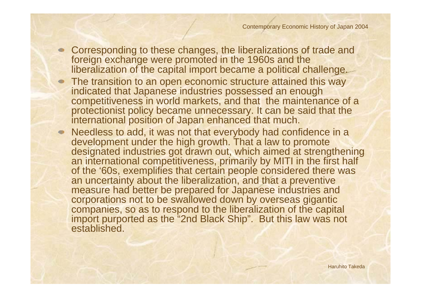- Corresponding to these changes, the liberalizations of trade and foreign exchange were promoted in the 1960s and the liberalization of the capital import became a political challenge.
	- The transition to an open economic structure attained this way indicated that Japanese industries possessed an enough competitiveness in world markets, and that the maintenance of a protectionist policy became unnecessary. It can be said that the international position of Japan enhanced that much.
- Needless to add, it was not that everybody had confidence in a development under the high growth. That a law to promote designated industries got drawn out, which aimed at strengthening an international competitiveness, primarily by MITI in the first half of the '60s, exemplifies that certain people considered there was an uncertainty about the liberalization, and that a preventive measure had better be prepared for Japanese industries and corporations not to be swallowed down by overseas gigantic companies, so as to respond to the liberalization of the capital import purported as the "2nd Black Ship". But this law was not established.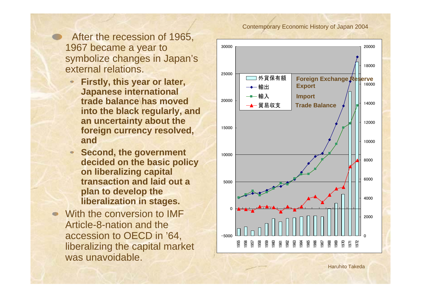After the recession of 1965, 1967 became a year to symbolize changes in Japan's external relations.

- **Firstly, this year or later, Japanese international trade balance has moved into the black regularly, and an uncertainty about the foreign currency resolved, and**
- **Second, the government decided on the basic policy on liberalizing capital transaction and laid out a plan to develop the liberalization in stages.**
- With the conversion to IMF Article-8-nation and the accession to OECD in '64, liberalizing the capital market was unavoidable.

#### Contemporary Economic History of Japan 2004

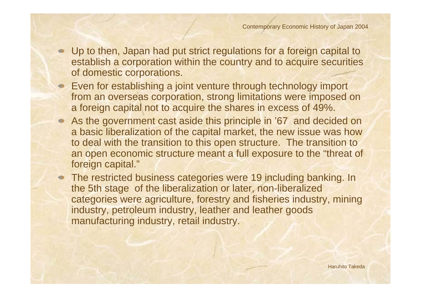- Up to then, Japan had put strict regulations for a foreign capital to establish a corporation within the country and to acquire securities of domestic corporations.
- Even for establishing a joint venture through technology import from an overseas corporation, strong limitations were imposed on a foreign capital not to acquire the shares in excess of 49%.
- As the government cast aside this principle in '67 and decided on a basic liberalization of the capital market, the new issue was how to deal with the transition to this open structure. The transition to an open economic structure meant a full exposure to the "threat of foreign capital."
- The restricted business categories were 19 including banking. In the 5th stage of the liberalization or later, non-liberalized categories were agriculture, forestry and fisheries industry, mining industry, petroleum industry, leather and leather goods manufacturing industry, retail industry.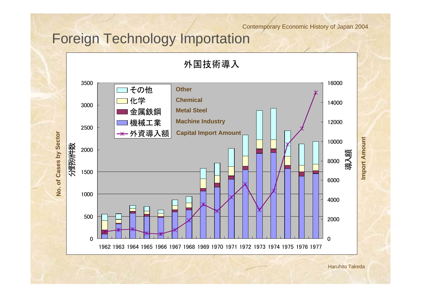### Contemporary Economic History of Japan 2004

# Foreign Technology Importation

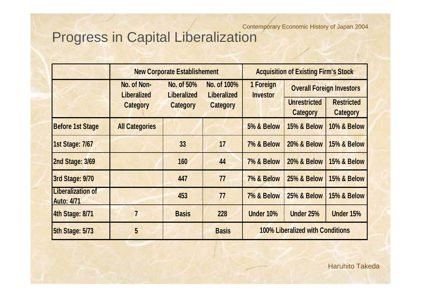### Progress in Capital Liberalization Contemporary Economic History of Japan 2004

|                                               |                                   | <b>New Corporate Establishement</b> |                                   | <b>Acquisition of Existing Firm's Stock</b> |                                        |                                      |  |  |
|-----------------------------------------------|-----------------------------------|-------------------------------------|-----------------------------------|---------------------------------------------|----------------------------------------|--------------------------------------|--|--|
|                                               | No. of Non-<br><b>Liberalized</b> | No. of 50%<br><b>Liberalized</b>    | No. of 100%<br><b>Liberalized</b> | 1 Foreign<br><b>Investor</b>                | <b>Overall Foreign Investors</b>       |                                      |  |  |
|                                               | <b>Category</b>                   | <b>Category</b>                     | <b>Category</b>                   |                                             | <b>Unrestricted</b><br><b>Category</b> | <b>Restricted</b><br><b>Category</b> |  |  |
| <b>Before 1st Stage</b>                       | <b>All Categories</b>             |                                     |                                   | <b>5% &amp; Below</b>                       | <b>15% &amp; Below</b>                 | <b>10% &amp; Below</b>               |  |  |
| <b>1st Stage: 7/67</b>                        |                                   | 33                                  | 17                                | 7% & Below                                  | <b>20% &amp; Below</b>                 | <b>15% &amp; Below</b>               |  |  |
| 2nd Stage: 3/69                               |                                   | 160                                 | 44                                | 7% & Below                                  | <b>20% &amp; Below</b>                 | <b>15% &amp; Below</b>               |  |  |
| <b>3rd Stage: 9/70</b>                        |                                   | 447                                 | 77                                | 7% & Below                                  | <b>25% &amp; Below</b>                 | <b>15% &amp; Below</b>               |  |  |
| <b>Liberalization of</b><br><b>Auto: 4/71</b> |                                   | 453                                 | 77                                | 7% & Below                                  | <b>25% &amp; Below</b>                 | <b>15% &amp; Below</b>               |  |  |
| 4th Stage: 8/71                               | 7                                 | <b>Basis</b>                        | 228                               | Under 10%                                   | Under 25%                              | Under 15%                            |  |  |
| <b>5th Stage: 5/73</b>                        | $5\overline{)}$                   |                                     | <b>Basis</b>                      | <b>100% Liberalized with Conditions</b>     |                                        |                                      |  |  |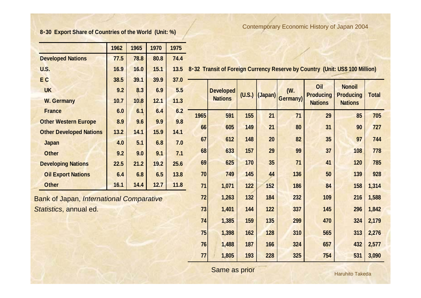### **8**・**30 Export Share of Countries of the World (Unit: %)**

Contemporary Economic History of Japan 2004

|                                | 1962 | 1965 | 1970 | 1975 |
|--------------------------------|------|------|------|------|
| <b>Developed Nations</b>       | 77.5 | 78.8 | 80.8 | 74.4 |
| U.S.                           | 16.9 | 16.0 | 15.1 | 13.5 |
| E <sub>C</sub>                 | 38.5 | 39.1 | 39.9 | 37.0 |
| <b>UK</b>                      | 9.2  | 8.3  | 6.9  | 5.5  |
| <b>W. Germany</b>              | 10.7 | 10.8 | 12.1 | 11.3 |
| <b>France</b>                  | 6.0  | 6.1  | 6.4  | 6.2  |
| <b>Other Western Europe</b>    | 8.9  | 9.6  | 9.9  | 9.8  |
| <b>Other Developed Nations</b> | 13.2 | 14.1 | 15.9 | 14.1 |
| Japan                          | 4.0  | 5.1  | 6.8  | 7.0  |
| <b>Other</b>                   | 9.2  | 9.0  | 9.1  | 7.1  |
| <b>Developing Nations</b>      | 22.5 | 21.2 | 19.2 | 25.6 |
| <b>Oil Export Nations</b>      | 6.4  | 6.8  | 6.5  | 13.8 |
| <b>Other</b>                   | 16.1 | 14.4 | 12.7 | 11.8 |

Bank of Japan, *International Comparative Statistics*, annual ed.

**8**・**32 Transit of Foreign Currency Reserve by Country (Unit: US\$ 100 Million)**

|      | <b>Developed</b><br><b>Nations</b> | (U.S.) | (Japan) | (W.<br><b>Germany</b> ) | Oil<br><b>Producing</b><br><b>Nations</b> | <b>Nonoil</b><br><b>Producing</b><br><b>Nations</b> | <b>Total</b> |
|------|------------------------------------|--------|---------|-------------------------|-------------------------------------------|-----------------------------------------------------|--------------|
| 1965 | 591                                | 155    | 21      | 71                      | 29                                        | 85                                                  | 705          |
| 66   | 605                                | 149    | 21      | 80                      | 31                                        | 90                                                  | 727          |
| 67   | 612                                | 148    | 20      | 82                      | 35                                        | 97                                                  | 744          |
| 68   | 633                                | 157    | 29      | 99                      | 37                                        | 108                                                 | 778          |
| 69   | 625                                | 170    | 35      | 71                      | 41                                        | 120                                                 | 785          |
| 70   | 749                                | 145    | 44      | 136                     | 50                                        | 139                                                 | 928          |
| 71   | 1,071                              | 122    | 152     | 186                     | 84                                        | 158                                                 | 1,314        |
| 72   | 1,263                              | 132    | 184     | 232                     | 109                                       | 216                                                 | 1,588        |
| 73   | 1,401                              | 144    | 122     | 337                     | 145                                       | 296                                                 | 1,842        |
| 74   | 1,385                              | 159    | 135     | 299                     | 470                                       | 324                                                 | 2,179        |
| 75   | 1,398                              | 162    | 128     | 310                     | 565                                       | 313                                                 | 2,276        |
| 76   | 1,488                              | 187    | 166     | 324                     | 657                                       | 432                                                 | 2,577        |
| 77   | 1,805                              | 193    | 228     | 325                     | 754                                       | 531                                                 | 3,090        |

Same as prior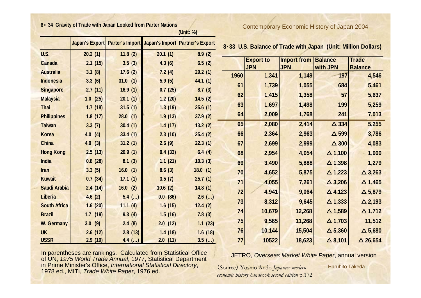#### **8**・ **34 Gravit y of Trade with Ja pan Looked from Parter Nations**

|                     |            |          |         | (Unit: %)                                                            |      |                                |                                          |                                                               |                                |
|---------------------|------------|----------|---------|----------------------------------------------------------------------|------|--------------------------------|------------------------------------------|---------------------------------------------------------------|--------------------------------|
|                     |            |          |         | Japan's Export   Parter's Import   Japan's Import   Partner's Export |      |                                |                                          | 8.33 U.S. Balance of Trade with Japan (Unit: Million Dollars) |                                |
| U.S.                | 20.2(1)    | 11.8(2)  | 20.1(1) | 8.9(2)                                                               |      |                                |                                          |                                                               |                                |
| <b>Canada</b>       | 2.1(15)    | 3.5(3)   | 4.3(6)  | 6.5(2)                                                               |      | <b>Export to</b><br><b>JPN</b> | <b>Import from Balance</b><br><b>JPN</b> | with JPN                                                      | <b>Trade</b><br><b>Balance</b> |
| <b>Australia</b>    | 3.1(8)     | 17.6(2)  | 7.2(4)  | 29.2(1)                                                              | 1960 | 1,341                          | 1,149                                    | 197                                                           | 4,546                          |
| <b>Indonesia</b>    | 3.3(6)     | 31.0(1)  | 5.9(5)  | 44.1(1)                                                              | 61   | 1,739                          | 1,055                                    | 684                                                           | 5,461                          |
| <b>Singapore</b>    | 2.7(11)    | 16.9(1)  | 0.7(25) | 8.7(3)                                                               |      |                                |                                          |                                                               |                                |
| <u>Malaysia</u>     | 1.0(25)    | 20.1(1)  | 1.2(20) | 14.5(2)                                                              | 62   | 1,415                          | 1,358                                    | 57                                                            | 5,637                          |
| <b>Thai</b>         | 1.7(18)    | 31.5(1)  | 1.3(19) | 25.6(1)                                                              | 63   | 1,697                          | 1,498                                    | 199                                                           | 5,259                          |
| <b>Philippines</b>  | 1.8(17)    | 28.0(1)  | 1.9(13) | 37.9(2)                                                              | 64   | 2,009                          | 1,768                                    | 241                                                           | 7,013                          |
| <b>Taiwan</b>       | 3.3(7)     | 30.4(1)  | 1.4(17) | 13.2(2)                                                              | 65   | 2,080                          | 2,414                                    | $\triangle$ 334                                               | 5,255                          |
| Korea               | 4.0(4)     | 33.4(1)  | 2.3(10) | 25.4(2)                                                              | 66   | 2,364                          | 2,963                                    | $\triangle$ 599                                               | 3,786                          |
| <b>China</b>        | 4.0(3)     | 31.2(1)  | 2.6(9)  | 22.3(1)                                                              | 67   | 2,699                          | 2,999                                    | $\triangle$ 300                                               | 4,083                          |
| <b>Hong Kong</b>    | 2.5(13)    | 20.9(1)  | 0.4(33) | 6.4(4)                                                               | 68   | 2,954                          | 4,054                                    | $\Delta$ 1,100                                                | 1,000                          |
| India               | 0.8(28)    | 8.1(3)   | 1.1(21) | 10.3(3)                                                              | 69   | 3,490                          | 5,888                                    | $\Delta$ 1,398                                                | 1,279                          |
| <b>Iran</b>         | 3.3(5)     | 16.0(1)  | 8.6(3)  | 18.0(1)                                                              | 70   | 4,652                          | 5,875                                    | $\triangle$ 1,223                                             | $\triangle$ 3,263              |
| <b>Kuwait</b>       | 0.7(34)    | 17.1(1)  | 3.5(7)  | 25.7(1)                                                              | 71   | 4,055                          | 7,261                                    | $\triangle$ 3,206                                             | $\Delta$ 1,465                 |
| Saudi Arabia        | 2.4(14)    | 16.0(2)  | 10.6(2) | 14.8(1)                                                              | 72   | 4,941                          | 9,064                                    | $\triangle$ 4,123                                             | $\triangle$ 5,879              |
| <b>Liberia</b>      | 4.6(2)     | $5.4$ () | 0.0(86) | $2.6$ ()                                                             | 73   | 8,312                          | 9,645                                    | $\Delta$ 1,333                                                | $\triangle$ 2,193              |
| <b>South Africa</b> | 1.6(20)    | 11.1(4)  | 1.6(15) | 12.4(2)                                                              |      |                                |                                          |                                                               |                                |
| <b>Brazil</b>       | $1.7$ (19) | 9.3(4)   | 1.5(16) | 7.8(3)                                                               | 74   | 10,679                         | 12,268                                   | $\Delta$ 1,589                                                | $\triangle$ 1,712              |
| W. Germany          | 3.0(9)     | 2.4(8)   | 2.0(12) | 1.1(23)                                                              | 75   | 9,565                          | 11,268                                   | $\Delta$ 1,703                                                | 11,512                         |
| <b>UK</b>           | 2.6(12)    | 2.8(13)  | 1.4(18) | 1.6(18)                                                              | 76   | 10,144                         | 15,504                                   | $\Delta$ 5,360                                                | $\Delta$ 5,680                 |
| <b>USSR</b>         | 2.9(10)    | 4.4 $()$ | 2.0(11) | $3.5$ ()                                                             | 77   | 10522                          | 18,623                                   | $\triangle$ 8,101                                             | $\Delta$ 26,654                |

Contemporary Economic History of Japan 2004

| 8.33 U.S. Balance of Trade with Japan (Unit: Million Dollars) |  |
|---------------------------------------------------------------|--|
|---------------------------------------------------------------|--|

△ **3,263**

△ **1,465**

△ **2,193**

△ **1,712**

△ **5,680**

△ **26,654**

In parentheses are rankings. Calculated from Statistical Office of UN, *1975 World Trade Annual*, 1977, Statistical Department in Prime Minister's Office, *International Statistical Directory*, 1978 ed., MITI, *Trade White Paper*, 1976 ed.

JETRO, *Overseas Market White Paper*, annual version

(Source) Yoshio Ando *Japanese modern economic history handbook second edition* p.172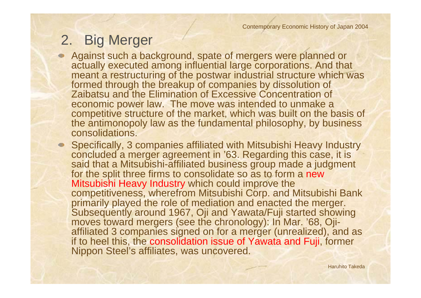# 2. Big Merger

Against such a background, spate of mergers were planned or actually executed among influential large corporations. And that meant a restructuring of the postwar industrial structure which was formed through the breakup of companies by dissolution of Zaibatsu and the Elimination of Excessive Concentration of economic power law. The move was intended to unmake a competitive structure of the market, which was built on the basis of the antimonopoly law as the fundamental philosophy, by business consolidations.

Specifically, 3 companies affiliated with Mitsubishi Heavy Industry concluded a merger agreement in '63. Regarding this case, it is said that a Mitsubishi-affiliated business group made a judgment for the split three firms to consolidate so as to form a new Mitsubishi Heavy Industry which could improve the competitiveness, wherefrom Mitsubishi Corp. and Mitsubishi Bank primarily played the role of mediation and enacted the merger. Subsequently around 1967, Oji and Yawata/Fuji started showing moves toward mergers (see the chronology): In Mar. '68, Ojiaffiliated 3 companies signed on for a merger (unrealized), and as if to heel this, the consolidation issue of Yawata and Fuji, former Nippon Steel's affiliates, was uncovered.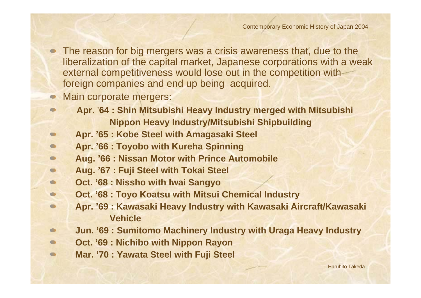The reason for big mergers was a crisis awareness that, due to the liberalization of the capital market, Japanese corporations with a weak external competitiveness would lose out in the competition with foreign companies and end up being acquired.

### Main corporate mergers:

 $\blacksquare$ 

- **Apr**. '**64 : Shin Mitsubishi Heavy Industry merged with Mitsubishi Nippon Heavy Industry/Mitsubishi Shipbuilding**
- **Apr. '65 : Kobe Steel with Amagasaki Steel**  $\bullet$
- **Apr. '66 : Toyobo with Kureha Spinning**   $\bullet$
- **Aug. '66 : Nissan Motor with Prince Automobile**  $\bullet$
- **Aug. '67 : Fuji Steel with Tokai Steel**  $\blacksquare$
- **Oct. '68 : Nissho with Iwai Sangyo**   $\bullet$
- **Oct. '68 : Toyo Koatsu with Mitsui Chemical Industry**  $\bullet$ 
	- **Apr. '69 : Kawasaki Heavy Industry with Kawasaki Aircraft/Kawasaki Vehicle**
- **Jun. '69 : Sumitomo Machinery Industry with Uraga Heavy Industry**  $\bullet$
- **Oct. '69 : Nichibo with Nippon Rayon**  $\bullet$
- **Mar. '70 : Yawata Steel with Fuji Steel**  $\bullet$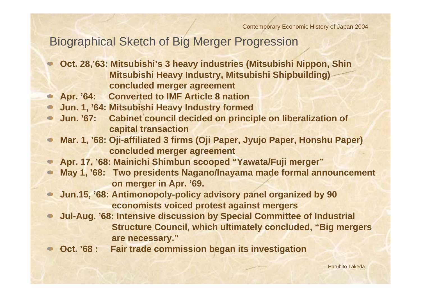### Biographical Sketch of Big Merger Progression

- **Oct. 28,'63: Mitsubishi's 3 heavy industries (Mitsubishi Nippon, Shin Mitsubishi Heavy Industry, Mitsubishi Shipbuilding) concluded merger agreement**
- **Apr. '64: Converted to IMF Article 8 nation**  $\bullet$
- **Jun. 1, '64: Mitsubishi Heavy Industry formed**
- **Jun. '67: Cabinet council decided on principle on liberalization of capital transaction**
- **Mar. 1, '68: Oji-affiliated 3 firms (Oji Paper, Jyujo Paper, Honshu Paper)**   $\bullet$ **concluded merger agreement**
- **Apr. 17, '68: Mainichi Shimbun scooped "Yawata/Fuji merger"**
- **May 1, '68: Two presidents Nagano/Inayama made formal announcement on merger in Apr. '69.**
- **Jun.15, '68: Antimonopoly-policy advisory panel organized by 90 economists voiced protest against mergers**
- **Jul-Aug. '68: Intensive discussion by Special Committee of Industrial Structure Council, which ultimately concluded, "Big mergers are necessary."**
- **Oct. '68 : Fair trade commission began its investigation**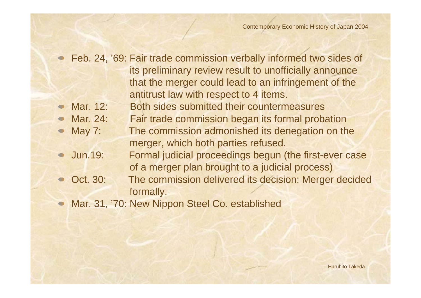Feb. 24, '69: Fair trade commission verbally informed two sides of its preliminary review result to unofficially announce that the merger could lead to an infringement of the antitrust law with respect to 4 items. Mar. 12: Both sides submitted their countermeasures Mar. 24: Fair trade commission began its formal probation May 7: The commission admonished its denegation on the merger, which both parties refused. Jun.19: Formal judicial proceedings begun (the first-ever case of a merger plan brought to a judicial process) Oct. 30: The commission delivered its decision: Merger decided formally.

Mar. 31, '70: New Nippon Steel Co. established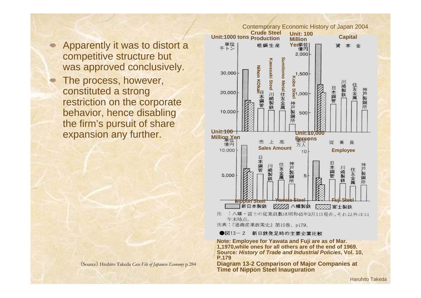- Apparently it was to distort a competitive structure but was approved conclusively.
- The process, however, constituted a strong restriction on the corporate behavior, hence disabling the firm's pursuit of share expansion any further.



注 : 八幡・富士の従業員数は昭和45年3月1日現在, それ以外は44 年末時点。

出典:『通商産業政策史』第10巻, p179。

●図13-2 新日鉄発足時の主要企業比較

**Note: Employee for Yawata and Fuji are as of Mar. 1,1970,while ones for all others are of the end of 1969. Source***: History of Trade and Industrial Policies***, Vol. 10, P.179**

**Diagram 13-2 Comparison of Major Companies at Time of Nippon Steel Inauguration** (Source) Hruhito Takeda *Case File of Japanese Economy* p.<sup>284</sup>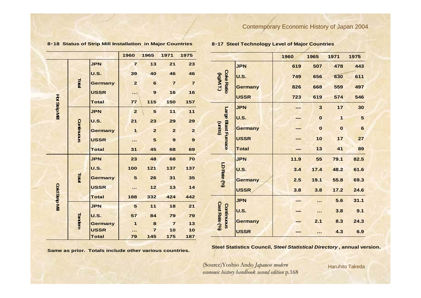#### **8**・**18 Status of Strip Mill Installation in Major Countries**

#### **8**・**17 Steel Technology Level of Major Countries**

|                       |            |                | 1960            | 1965                    | 1971           | 1975             |                                    |                | 1960 | 1965                 | 1971         | 1975            |
|-----------------------|------------|----------------|-----------------|-------------------------|----------------|------------------|------------------------------------|----------------|------|----------------------|--------------|-----------------|
| Fotal                 |            | <b>JPN</b>     | $\overline{7}$  | 13                      | 21             | 23               |                                    | <b>JPN</b>     | 619  | 507                  | 478          | 443             |
|                       |            | <b>U.S.</b>    | 39              | 40                      | 46             | 46               | <b>Coke Ratio</b>                  | <b>U.S.</b>    | 749  | 656                  | 630          | 611             |
|                       |            | <b>Germany</b> | $\overline{2}$  | $\bf 6$                 | $\overline{7}$ | $\overline{7}$   | (Kg/MT.)                           | <b>Germany</b> | 826  | 668                  | 559          | 497             |
|                       |            | <b>USSR</b>    | $\cdot$ .       | $\boldsymbol{9}$        | 16             | 16               |                                    | <b>USSR</b>    | 723  | 619                  | 574          | 546             |
|                       |            | <b>Total</b>   | 77              | 115                     | 150            | 157              |                                    |                |      |                      |              |                 |
| <b>Hot Strip Mill</b> |            | <b>JPN</b>     | $\overline{2}$  | 5                       | 11             | 11               |                                    | <b>JPN</b>     | —    | $\mathbf{3}$         | $17$         | 30              |
|                       |            | <b>U.S.</b>    | 21              | 23                      | 29             | 29               |                                    | <b>U.S.</b>    | —    | $\bf{0}$             | $\mathbf 1$  | 5               |
|                       | Continuous | <b>Germany</b> | $\mathbf{1}$    | $\overline{2}$          | $\overline{2}$ | $\overline{2}$   | Large Blast Furnace<br>(units)     | <b>Germany</b> | —    | $\bf{0}$             | $\mathbf{o}$ | $6\phantom{1}6$ |
|                       |            | <b>USSR</b>    | .               | $\overline{\mathbf{5}}$ | $\mathbf 9$    | $\boldsymbol{9}$ |                                    | <b>USSR</b>    |      | 10                   | 17           | 27              |
|                       |            | <b>Total</b>   | 31              | 45                      | 68             | 69               |                                    | <b>Total</b>   |      | 13                   | 41           | 89              |
|                       |            | <b>JPN</b>     | 23              | 48                      | 68             | 70               |                                    | <b>JPN</b>     | 11.9 | 55                   | 79.1         | 82.5            |
|                       |            | <b>U.S.</b>    | 100             | $121$                   | 137            | 137              | LD Rate (%)                        | <b>U.S.</b>    | 3.4  | 17.4                 | 48.2         | 61.6            |
|                       | Total      | <b>Germany</b> | 5               | 26                      | 31             | 35               |                                    | <b>Germany</b> | 2.5  | 19.1                 | 55.8         | 69.3            |
| Cold Strip MII        |            | <b>USSR</b>    | $-$             | $12$                    | $13$           | $14$             |                                    | <b>USSR</b>    | 3.8  | 3.8                  | 17.2         | 24.6            |
|                       |            | <b>Total</b>   | 188             | 332                     | 424            | 442              |                                    | <b>JPN</b>     |      | $\sim 100$           | 5.6          | 31.1            |
|                       |            | <b>JPN</b>     | $5\phantom{.0}$ | $11$                    | 18             | 21               |                                    |                |      |                      |              |                 |
|                       |            | <b>U.S.</b>    | 57              | 84                      | 79             | 79               |                                    | <b>U.S.</b>    |      | $\sim$ $\sim$ $\sim$ | 3.8          | 9.1             |
|                       | Tandem     | <b>Germany</b> | $\mathbf{1}$    | 8                       | $\overline{7}$ | 13               | <b>Cast Rate (%)</b><br>Continuous | <b>Germany</b> |      | 2.1                  | 8.3          | 24.3            |
|                       |            | <b>USSR</b>    | .               | $\overline{7}$          | 10             | 10               |                                    | <b>USSR</b>    |      | $\sim$ $\sim$        | 4.3          | 6.9             |
|                       |            | <b>Total</b>   | 79              | 145                     | 175            | 187              |                                    |                |      |                      |              |                 |

**Same as prior. Totals include other various countries.**

**Steel Statistics Council,** *Steel Statistical Directory* **, annual version.**

(Source)Yoshio Ando *Japanese modern economic history handbook second edition* p.168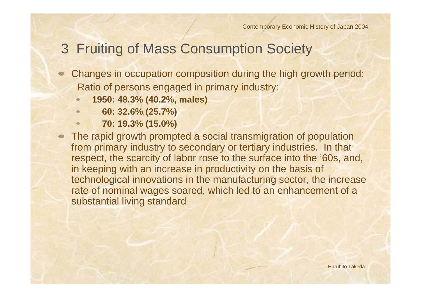## 3 Fruiting of Mass Consumption Society

- Changes in occupation composition during the high growth period: Ratio of persons engaged in primary industry:
	- **1950: 48.3% (40.2%, males)**
	- **60: 32.6% (25.7%)**
	- **70: 19.3% (15.0%)**
- The rapid growth prompted a social transmigration of population  $\bullet$ from primary industry to secondary or tertiary industries. In that respect, the scarcity of labor rose to the surface into the '60s, and, in keeping with an increase in productivity on the basis of technological innovations in the manufacturing sector, the increase rate of nominal wages soared, which led to an enhancement of a substantial living standard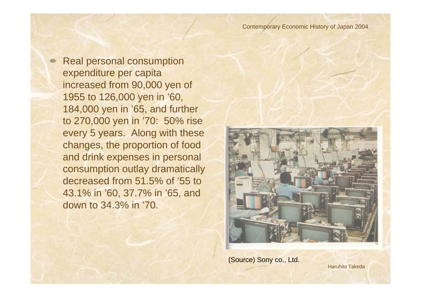Real personal consumption expenditure per capita increased from 90,000 yen of 1955 to 126,000 yen in '60, 184,000 yen in '65, and further to 270,000 yen in '70: 50% rise every 5 years. Along with these changes, the proportion of food and drink expenses in personal consumption outlay dramatically decreased from 51.5% of '55 to 43.1% in '60, 37.7% in '65, and down to 34.3% in '70.



(Source) Sony co., Ltd.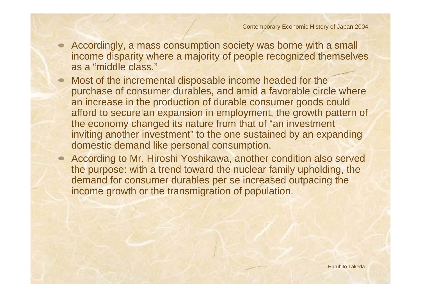- Accordingly, a mass consumption society was borne with a small income disparity where a majority of people recognized themselves as a "middle class."
- Most of the incremental disposable income headed for the purchase of consumer durables, and amid a favorable circle where an increase in the production of durable consumer goods could afford to secure an expansion in employment, the growth pattern of the economy changed its nature from that of "an investment inviting another investment" to the one sustained by an expanding domestic demand like personal consumption.
- According to Mr. Hiroshi Yoshikawa, another condition also served the purpose: with a trend toward the nuclear family upholding, the demand for consumer durables per se increased outpacing the income growth or the transmigration of population.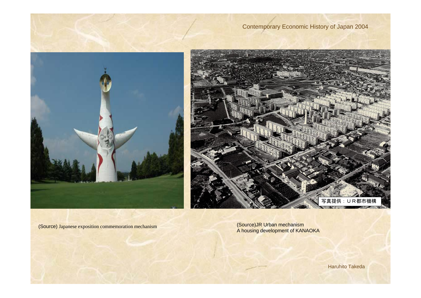



(Source) Japanese exposition commemoration mechanism (Source)JR Urban mechanism A housing development of KANAOKA